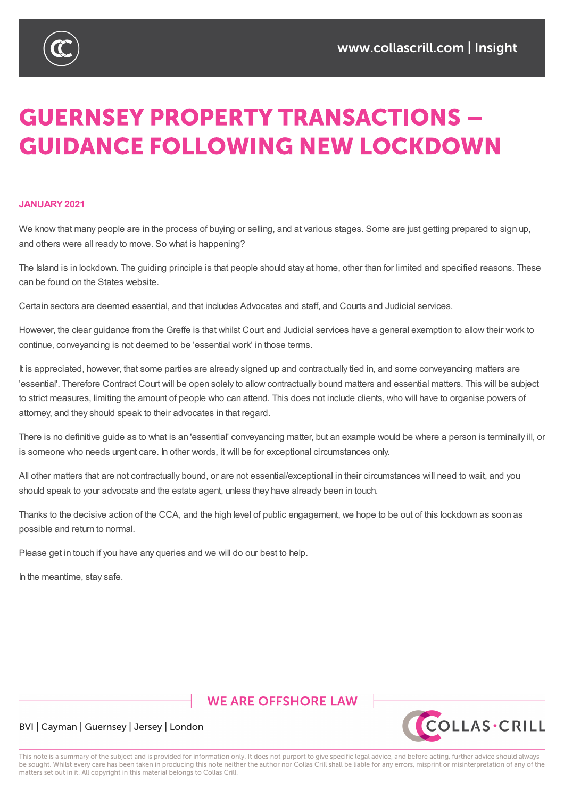

# **GUERNSEY PROPERTY TRANSACTIONS -GUIDANCE FOLLOWING NEW LOCKDOWN**

### **JANUARY2021**

We know that many people are in the process of buying or selling, and at various stages. Some are just getting prepared to sign up, and others were all ready to move. So what is happening?

The Island is in lockdown. The guiding principle is that people should stay at home, other than for limited and specified reasons. These can be found on the States website.

Certain sectors are deemed essential, and that includes Advocates and staff, and Courts and Judicial services.

However, the clear guidance from the Greffe is that whilst Court and Judicial services have a general exemption to allow their work to continue, conveyancing is not deemed to be 'essential work' in those terms.

It is appreciated, however, that some parties are already signed up and contractually tied in, and some conveyancing matters are 'essential'. Therefore Contract Court will be open solely to allow contractually bound matters and essential matters. This will be subject to strict measures, limiting the amount of people who can attend. This does not include clients, who will have to organise powers of attorney, and they should speak to their advocates in that regard.

There is no definitive guide as to what is an 'essential' conveyancing matter, but an example would be where a person is terminally ill, or is someone who needs urgent care. In other words, it will be for exceptional circumstances only.

All other matters that are not contractually bound, or are not essential/exceptional in their circumstances will need to wait, and you should speak to your advocate and the estate agent, unless they have already been in touch.

Thanks to the decisive action of the CCA, and the high level of public engagement, we hope to be out of this lockdown as soon as possible and return to normal.

Please get in touch if you have any queries and we will do our best to help.

In the meantime, stay safe.

# **WE ARE OFFSHORE I AW**



## BVI | Cayman | Guernsey | Jersey | London

This note is a summary of the subject and is provided for information only. It does not purport to give specific legal advice, and before acting, further advice should always be sought. Whilst every care has been taken in producing this note neither the author nor Collas Crill shall be liable for any errors, misprint or misinterpretation of any of the matters set out in it. All copyright in this material belongs to Collas Crill.